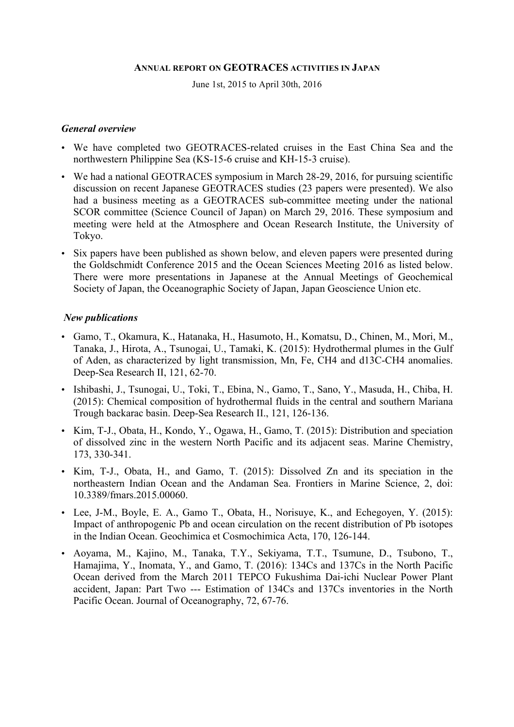#### **ANNUAL REPORT ON GEOTRACES ACTIVITIES IN JAPAN**

June 1st, 2015 to April 30th, 2016

#### *General overview*

- We have completed two GEOTRACES-related cruises in the East China Sea and the northwestern Philippine Sea (KS-15-6 cruise and KH-15-3 cruise).
- We had a national GEOTRACES symposium in March 28-29, 2016, for pursuing scientific discussion on recent Japanese GEOTRACES studies (23 papers were presented). We also had a business meeting as a GEOTRACES sub-committee meeting under the national SCOR committee (Science Council of Japan) on March 29, 2016. These symposium and meeting were held at the Atmosphere and Ocean Research Institute, the University of Tokyo.
- Six papers have been published as shown below, and eleven papers were presented during the Goldschmidt Conference 2015 and the Ocean Sciences Meeting 2016 as listed below. There were more presentations in Japanese at the Annual Meetings of Geochemical Society of Japan, the Oceanographic Society of Japan, Japan Geoscience Union etc.

# *New publications*

- Gamo, T., Okamura, K., Hatanaka, H., Hasumoto, H., Komatsu, D., Chinen, M., Mori, M., Tanaka, J., Hirota, A., Tsunogai, U., Tamaki, K. (2015): Hydrothermal plumes in the Gulf of Aden, as characterized by light transmission, Mn, Fe, CH4 and d13C-CH4 anomalies. Deep-Sea Research II, 121, 62-70.
- Ishibashi, J., Tsunogai, U., Toki, T., Ebina, N., Gamo, T., Sano, Y., Masuda, H., Chiba, H. (2015): Chemical composition of hydrothermal fluids in the central and southern Mariana Trough backarac basin. Deep-Sea Research II., 121, 126-136.
- Kim, T-J., Obata, H., Kondo, Y., Ogawa, H., Gamo, T. (2015): Distribution and speciation of dissolved zinc in the western North Pacific and its adjacent seas. Marine Chemistry, 173, 330-341.
- Kim, T-J., Obata, H., and Gamo, T. (2015): Dissolved Zn and its speciation in the northeastern Indian Ocean and the Andaman Sea. Frontiers in Marine Science, 2, doi: 10.3389/fmars.2015.00060.
- Lee, J-M., Boyle, E. A., Gamo T., Obata, H., Norisuye, K., and Echegoyen, Y. (2015): Impact of anthropogenic Pb and ocean circulation on the recent distribution of Pb isotopes in the Indian Ocean. Geochimica et Cosmochimica Acta, 170, 126-144.
- Aoyama, M., Kajino, M., Tanaka, T.Y., Sekiyama, T.T., Tsumune, D., Tsubono, T., Hamajima, Y., Inomata, Y., and Gamo, T. (2016): 134Cs and 137Cs in the North Pacific Ocean derived from the March 2011 TEPCO Fukushima Dai-ichi Nuclear Power Plant accident, Japan: Part Two --- Estimation of 134Cs and 137Cs inventories in the North Pacific Ocean. Journal of Oceanography, 72, 67-76.